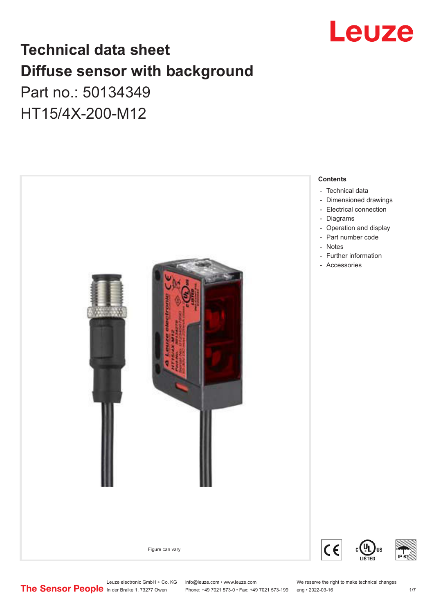

## **Technical data sheet Diffuse sensor with background**

## Part no.: 50134349 HT15/4X-200-M12



Leuze electronic GmbH + Co. KG info@leuze.com • www.leuze.com We reserve the right to make technical changes<br>
The Sensor People in der Braike 1, 73277 Owen Phone: +49 7021 573-0 • Fax: +49 7021 573-199 eng • 2022-03-16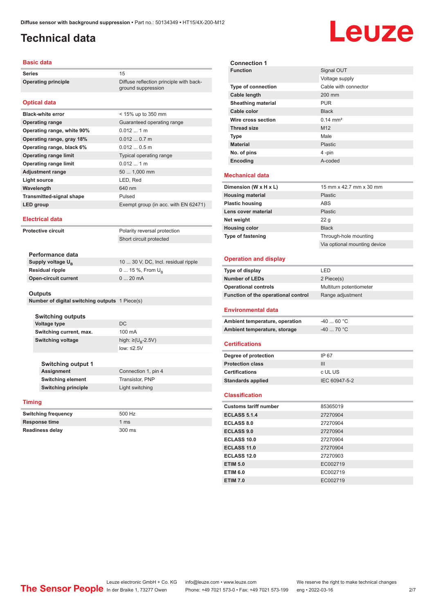ground suppression

## <span id="page-1-0"></span>**Technical data**

# Leuze

#### **Basic data**

Series 15 **Operating principle** Diffuse reflection principle with back-

#### **Optical data**

| <b>Black-white error</b>        | $<$ 15% up to 350 mm                 |
|---------------------------------|--------------------------------------|
| <b>Operating range</b>          | Guaranteed operating range           |
| Operating range, white 90%      | $0.0121$ m                           |
| Operating range, gray 18%       | 0.0120.7m                            |
| Operating range, black 6%       | $0.0120.5$ m                         |
| <b>Operating range limit</b>    | Typical operating range              |
| <b>Operating range limit</b>    | $0.0121$ m                           |
| <b>Adjustment range</b>         | 50  1,000 mm                         |
| Light source                    | LED, Red                             |
| Wavelength                      | 640 nm                               |
| <b>Transmitted-signal shape</b> | Pulsed                               |
| LED group                       | Exempt group (in acc. with EN 62471) |
|                                 |                                      |

#### **Electrical data**

**Protective circuit** Polarity reversal protection Short circuit protected

| Performance data              |                                     |
|-------------------------------|-------------------------------------|
| Supply voltage U <sub>p</sub> | 10  30 V, DC, Incl. residual ripple |
| <b>Residual ripple</b>        | $0 15 \%$ , From $U_{p}$            |
| <b>Open-circuit current</b>   | $020$ mA                            |
|                               |                                     |

#### **Outputs**

**Number of digital switching outputs** 1 Piece(s)

| <b>Switching outputs</b><br><b>Voltage type</b><br>Switching current, max. | DC.<br>100 mA           |
|----------------------------------------------------------------------------|-------------------------|
| <b>Switching voltage</b>                                                   | high: ≥( $U_p - 2.5V$ ) |
| <b>Switching output 1</b>                                                  | low: $\leq 2.5V$        |
| <b>Assignment</b>                                                          | Connection 1, pin 4     |
| Switching element                                                          | <b>Transistor PNP</b>   |

| <b>SWItching element</b>   | Transistor, PNF |
|----------------------------|-----------------|
| <b>Switching principle</b> | Light switching |
|                            |                 |

#### **Timing**

| <b>Switching frequency</b> | 500 Hz        |
|----------------------------|---------------|
| <b>Response time</b>       | 1 $\text{ms}$ |
| <b>Readiness delay</b>     | 300 ms        |

| <b>Connection 1</b>       |                      |
|---------------------------|----------------------|
| <b>Function</b>           | Signal OUT           |
|                           | Voltage supply       |
| <b>Type of connection</b> | Cable with connector |
| Cable length              | 200 mm               |
| <b>Sheathing material</b> | <b>PUR</b>           |
| Cable color               | <b>Black</b>         |
| Wire cross section        | $0.14 \text{ mm}^2$  |
| <b>Thread size</b>        | M <sub>12</sub>      |
| <b>Type</b>               | Male                 |
| <b>Material</b>           | Plastic              |
| No. of pins               | 4 -pin               |
| Encoding                  | A-coded              |
| <b>Mechanical data</b>    |                      |

| Dimension (W x H x L)    | 15 mm x 42.7 mm x 30 mm      |
|--------------------------|------------------------------|
|                          |                              |
| <b>Housing material</b>  | Plastic                      |
| <b>Plastic housing</b>   | ABS                          |
| Lens cover material      | Plastic                      |
| Net weight               | 22g                          |
| <b>Housing color</b>     | <b>Black</b>                 |
| <b>Type of fastening</b> | Through-hole mounting        |
|                          | Via optional mounting device |

#### **Operation and display**

| Type of display                     | I FD                    |
|-------------------------------------|-------------------------|
| <b>Number of LEDs</b>               | 2 Piece(s)              |
| <b>Operational controls</b>         | Multiturn potentiometer |
| Function of the operational control | Range adjustment        |

#### **Environmental data**

| Ambient temperature, operation | -40  60 °C                       |
|--------------------------------|----------------------------------|
| Ambient temperature, storage   | $-40$ 70 $^{\circ}$ C $^{\circ}$ |

#### **Certifications**

| Degree of protection     | IP 67         |
|--------------------------|---------------|
| <b>Protection class</b>  | Ш             |
| <b>Certifications</b>    | c UL US       |
| <b>Standards applied</b> | IEC 60947-5-2 |

#### **Classification**

| <b>Customs tariff number</b> | 85365019 |
|------------------------------|----------|
| <b>ECLASS 5.1.4</b>          | 27270904 |
| <b>ECLASS 8.0</b>            | 27270904 |
| <b>ECLASS 9.0</b>            | 27270904 |
| ECLASS 10.0                  | 27270904 |
| <b>ECLASS 11.0</b>           | 27270904 |
| ECLASS 12.0                  | 27270903 |
| <b>ETIM 5.0</b>              | EC002719 |
| <b>ETIM 6.0</b>              | EC002719 |
| <b>ETIM 7.0</b>              | EC002719 |

Leuze electronic GmbH + Co. KG info@leuze.com • www.leuze.com We reserve the right to make technical changes<br>
The Sensor People in der Braike 1, 73277 Owen Phone: +49 7021 573-0 • Fax: +49 7021 573-199 eng • 2022-03-16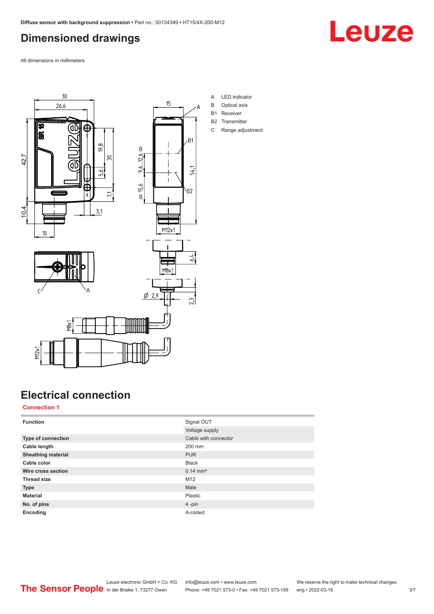## <span id="page-2-0"></span>**Dimensioned drawings**

Leuze

All dimensions in millimeters







- A LED indicator
- B Optical axis
- B1 Receiver
- B2 Transmitter
- C Range adjustment

## **Electrical connection**

#### **Connection 1**

M12x1

| <b>Function</b>           | Signal OUT           |
|---------------------------|----------------------|
|                           | Voltage supply       |
| <b>Type of connection</b> | Cable with connector |
| Cable length              | 200 mm               |
| <b>Sheathing material</b> | <b>PUR</b>           |
| Cable color               | <b>Black</b>         |
| Wire cross section        | $0.14 \text{ mm}^2$  |
| <b>Thread size</b>        | M12                  |
| <b>Type</b>               | Male                 |
| <b>Material</b>           | Plastic              |
| No. of pins               | $4$ -pin             |
| Encoding                  | A-coded              |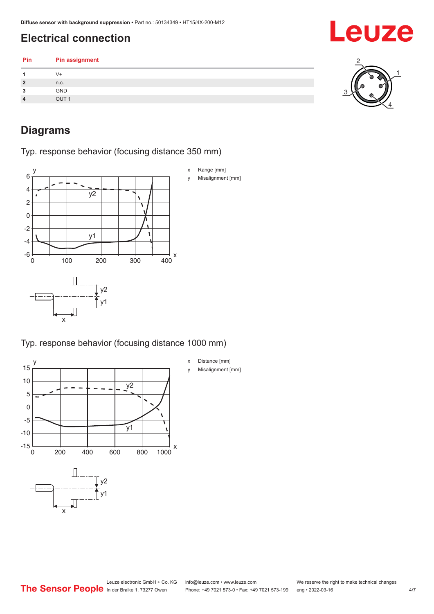## <span id="page-3-0"></span>**Electrical connection**

| Pin            | <b>Pin assignment</b> |  |
|----------------|-----------------------|--|
|                | V+                    |  |
| $\overline{2}$ | n.c.                  |  |
| 3              | <b>GND</b>            |  |
| $\overline{4}$ | OUT <sub>1</sub>      |  |
|                |                       |  |

## **Diagrams**

Typ. response behavior (focusing distance 350 mm)



Typ. response behavior (focusing distance 1000 mm)



x Distance [mm] y Misalignment [mm]



Leuze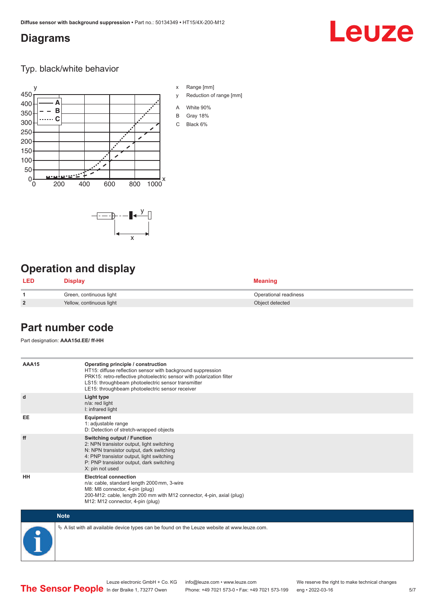#### <span id="page-4-0"></span>**Diagrams**

## Leuze

Typ. black/white behavior



x

 $-\overline{...}$   $-\overline{...}$   $-\overline{...}$ 

x Range [mm]

- y Reduction of range [mm]
- A White 90%
- B Gray 18%
- C Black 6%

### **Operation and display**

| LED            | Display                  | <b>Meaning</b>        |
|----------------|--------------------------|-----------------------|
|                | Green, continuous light  | Operational readiness |
| $\overline{2}$ | Yellow, continuous light | Object detected       |

#### **Part number code**

Part designation: **AAA15d.EE/ ff-HH**

| AAA15       | Operating principle / construction<br>HT15: diffuse reflection sensor with background suppression<br>PRK15: retro-reflective photoelectric sensor with polarization filter<br>LS15: throughbeam photoelectric sensor transmitter<br>LE15: throughbeam photoelectric sensor receiver |
|-------------|-------------------------------------------------------------------------------------------------------------------------------------------------------------------------------------------------------------------------------------------------------------------------------------|
| d           | Light type<br>n/a: red light<br>I: infrared light                                                                                                                                                                                                                                   |
| EE          | Equipment<br>1: adjustable range<br>D: Detection of stretch-wrapped objects                                                                                                                                                                                                         |
| ff          | Switching output / Function<br>2: NPN transistor output, light switching<br>N: NPN transistor output, dark switching<br>4: PNP transistor output, light switching<br>P: PNP transistor output, dark switching<br>X: pin not used                                                    |
| HH          | <b>Electrical connection</b><br>n/a: cable, standard length 2000 mm, 3-wire<br>M8: M8 connector, 4-pin (plug)<br>200-M12: cable, length 200 mm with M12 connector, 4-pin, axial (plug)<br>M12: M12 connector, 4-pin (plug)                                                          |
| <b>Note</b> |                                                                                                                                                                                                                                                                                     |

 $\%$  A list with all available device types can be found on the Leuze website at www.leuze.com.

Phone: +49 7021 573-0 • Fax: +49 7021 573-199 eng • 2022-03-16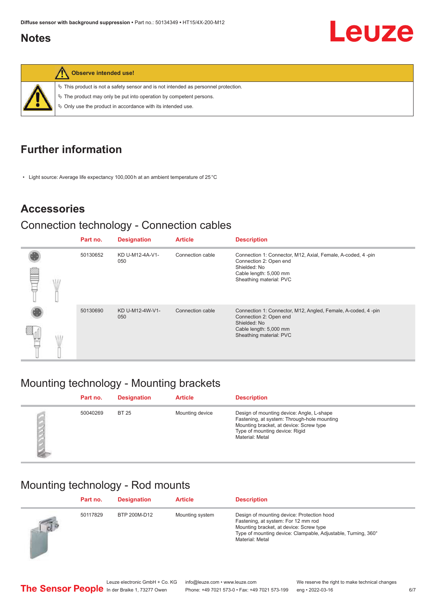#### <span id="page-5-0"></span>**Notes**



**Observe intended use!**

 $\%$  This product is not a safety sensor and is not intended as personnel protection.

 $\%$  The product may only be put into operation by competent persons.

 $\%$  Only use the product in accordance with its intended use.

## **Further information**

• Light source: Average life expectancy 100,000 h at an ambient temperature of 25 °C

### **Accessories**

#### Connection technology - Connection cables

|  | Part no. | <b>Designation</b>     | <b>Article</b>   | <b>Description</b>                                                                                                                                          |
|--|----------|------------------------|------------------|-------------------------------------------------------------------------------------------------------------------------------------------------------------|
|  | 50130652 | KD U-M12-4A-V1-<br>050 | Connection cable | Connection 1: Connector, M12, Axial, Female, A-coded, 4-pin<br>Connection 2: Open end<br>Shielded: No<br>Cable length: 5,000 mm<br>Sheathing material: PVC  |
|  | 50130690 | KD U-M12-4W-V1-<br>050 | Connection cable | Connection 1: Connector, M12, Angled, Female, A-coded, 4-pin<br>Connection 2: Open end<br>Shielded: No<br>Cable length: 5,000 mm<br>Sheathing material: PVC |

## Mounting technology - Mounting brackets

| Part no. | <b>Designation</b> | <b>Article</b>  | <b>Description</b>                                                                                                                                                                       |
|----------|--------------------|-----------------|------------------------------------------------------------------------------------------------------------------------------------------------------------------------------------------|
| 50040269 | <b>BT 25</b>       | Mounting device | Design of mounting device: Angle, L-shape<br>Fastening, at system: Through-hole mounting<br>Mounting bracket, at device: Screw type<br>Type of mounting device: Rigid<br>Material: Metal |

## Mounting technology - Rod mounts

|            | Part no. | <b>Designation</b> | <b>Article</b>  | <b>Description</b>                                                                                                                                                                                               |
|------------|----------|--------------------|-----------------|------------------------------------------------------------------------------------------------------------------------------------------------------------------------------------------------------------------|
| $\sqrt{d}$ | 50117829 | BTP 200M-D12       | Mounting system | Design of mounting device: Protection hood<br>Fastening, at system: For 12 mm rod<br>Mounting bracket, at device: Screw type<br>Type of mounting device: Clampable, Adjustable, Turning, 360°<br>Material: Metal |

Leuze